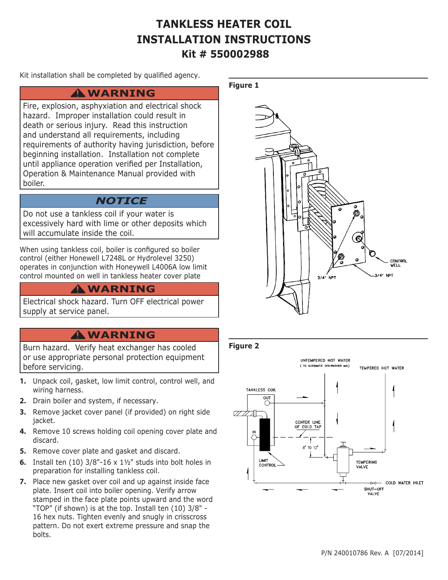# **TANKLESS HEATER COIL INSTALLATION INSTRUCTIONS Kit # 550002988**

**Figure 1** 

Kit installation shall be completed by qualified agency.

## **WARNING !**

Fire, explosion, asphyxiation and electrical shock hazard. Improper installation could result in death or serious injury. Read this instruction and understand all requirements, including requirements of authority having jurisdiction, before beginning installation. Installation not complete until appliance operation verified per Installation, Operation & Maintenance Manual provided with boiler.

## *NOTICE*

Do not use a tankless coil if your water is excessively hard with lime or other deposits which will accumulate inside the coil.

When using tankless coil, boiler is configured so boiler control (either Honewell L7248L or Hydrolevel 3250) operates in conjunction with Honeywell L4006A low limit control mounted on well in tankless heater cover plate

## **WARNING !**

Electrical shock hazard. Turn OFF electrical power supply at service panel.

## **WARNING !**

Burn hazard. Verify heat exchanger has cooled or use appropriate personal protection equipment before servicing.

- **1.** Unpack coil, gasket, low limit control, control well, and wiring harness.
- **2.** Drain boiler and system, if necessary.
- **3.** Remove jacket cover panel (if provided) on right side jacket.
- **4.** Remove 10 screws holding coil opening cover plate and discard.
- **5.** Remove cover plate and gasket and discard.
- **6.** Install ten (10) 3/8"-16 x 1½" studs into bolt holes in preparation for installing tankless coil.
- **7.** Place new gasket over coil and up against inside face plate. Insert coil into boiler opening. Verify arrow stamped in the face plate points upward and the word "TOP" (if shown) is at the top. Install ten (10) 3/8" - 16 hex nuts. Tighten evenly and snugly in crisscross pattern. Do not exert extreme pressure and snap the bolts.



#### **Figure 2**